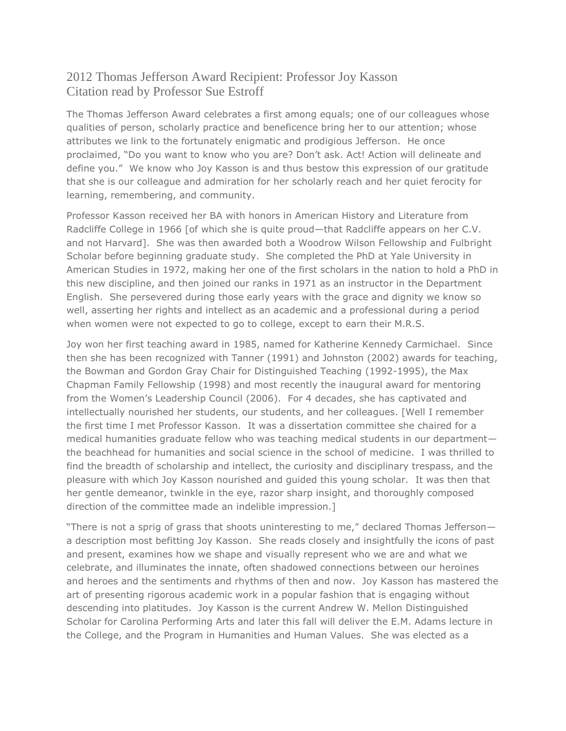## 2012 Thomas Jefferson Award Recipient: Professor Joy Kasson Citation read by Professor Sue Estroff

The Thomas Jefferson Award celebrates a first among equals; one of our colleagues whose qualities of person, scholarly practice and beneficence bring her to our attention; whose attributes we link to the fortunately enigmatic and prodigious Jefferson. He once proclaimed, "Do you want to know who you are? Don't ask. Act! Action will delineate and define you." We know who Joy Kasson is and thus bestow this expression of our gratitude that she is our colleague and admiration for her scholarly reach and her quiet ferocity for learning, remembering, and community.

Professor Kasson received her BA with honors in American History and Literature from Radcliffe College in 1966 [of which she is quite proud—that Radcliffe appears on her C.V. and not Harvard]. She was then awarded both a Woodrow Wilson Fellowship and Fulbright Scholar before beginning graduate study. She completed the PhD at Yale University in American Studies in 1972, making her one of the first scholars in the nation to hold a PhD in this new discipline, and then joined our ranks in 1971 as an instructor in the Department English. She persevered during those early years with the grace and dignity we know so well, asserting her rights and intellect as an academic and a professional during a period when women were not expected to go to college, except to earn their M.R.S.

Joy won her first teaching award in 1985, named for Katherine Kennedy Carmichael. Since then she has been recognized with Tanner (1991) and Johnston (2002) awards for teaching, the Bowman and Gordon Gray Chair for Distinguished Teaching (1992-1995), the Max Chapman Family Fellowship (1998) and most recently the inaugural award for mentoring from the Women's Leadership Council (2006). For 4 decades, she has captivated and intellectually nourished her students, our students, and her colleagues. [Well I remember the first time I met Professor Kasson. It was a dissertation committee she chaired for a medical humanities graduate fellow who was teaching medical students in our department the beachhead for humanities and social science in the school of medicine. I was thrilled to find the breadth of scholarship and intellect, the curiosity and disciplinary trespass, and the pleasure with which Joy Kasson nourished and guided this young scholar. It was then that her gentle demeanor, twinkle in the eye, razor sharp insight, and thoroughly composed direction of the committee made an indelible impression.]

"There is not a sprig of grass that shoots uninteresting to me," declared Thomas Jefferson a description most befitting Joy Kasson. She reads closely and insightfully the icons of past and present, examines how we shape and visually represent who we are and what we celebrate, and illuminates the innate, often shadowed connections between our heroines and heroes and the sentiments and rhythms of then and now. Joy Kasson has mastered the art of presenting rigorous academic work in a popular fashion that is engaging without descending into platitudes. Joy Kasson is the current Andrew W. Mellon Distinguished Scholar for Carolina Performing Arts and later this fall will deliver the E.M. Adams lecture in the College, and the Program in Humanities and Human Values. She was elected as a